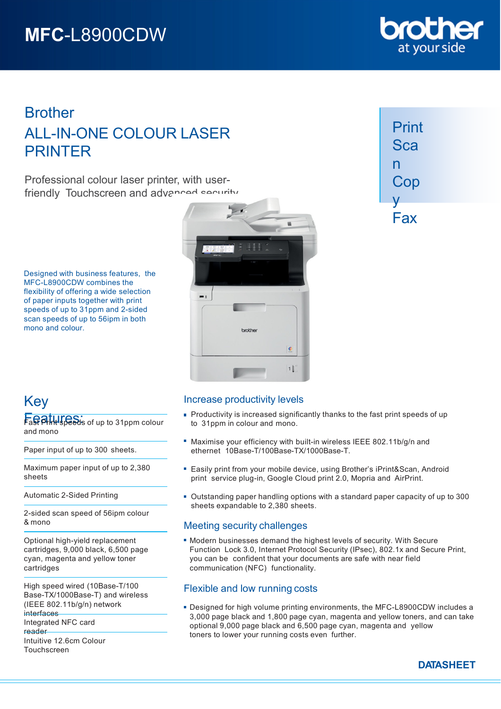# **MFC**-L8900CDW

## **Brother** ALL-IN-ONE COLOUR LASER PRINTER

Professional colour laser printer, with userfriendly Touchscreen and advanced security

Designed with business features, the MFC-L8900CDW combines the flexibility of offering a wide selection of paper inputs together with print speeds of up to 31ppm and 2-sided scan speeds of up to 56ipm in both mono and colour.



| Print |
|-------|
| Sca   |
| n     |
| Cop   |
| V     |
| Fax   |

## Key

Fast Print Speeds of up to 31 ppm colour and mono

Paper input of up to 300 sheets.

Maximum paper input of up to 2,380 sheets

Automatic 2-Sided Printing

2-sided scan speed of 56ipm colour & mono

Optional high-yield replacement cartridges, 9,000 black, 6,500 page cyan, magenta and yellow toner cartridges

High speed wired (10Base-T/100 Base-TX/1000Base-T) and wireless (IEEE 802.11b/g/n) network **interfaces** 

Integrated NFC card reader

Intuitive 12.6cm Colour Touchscreen

## Increase productivity levels

- **Productivity is increased significantly thanks to the fast print speeds of up** to 31ppm in colour and mono.
- Maximise your efficiency with built-in wireless IEEE 802.11b/g/n and ethernet 10Base-T/100Base-TX/1000Base-T.
- Easily print from your mobile device, using Brother's iPrint&Scan, Android print service plug-in, Google Cloud print 2.0, Mopria and AirPrint.
- Outstanding paper handling options with a standard paper capacity of up to 300 sheets expandable to 2,380 sheets.

## Meeting security challenges

Modern businesses demand the highest levels of security. With Secure Function Lock 3.0, Internet Protocol Security (IPsec), 802.1x and Secure Print, you can be confident that your documents are safe with near field communication (NFC) functionality.

## Flexible and low running costs

Designed for high volume printing environments, the MFC-L8900CDW includes a 3,000 page black and 1,800 page cyan, magenta and yellow toners, and can take optional 9,000 page black and 6,500 page cyan, magenta and yellow toners to lower your running costs even further.



**DATASHEET**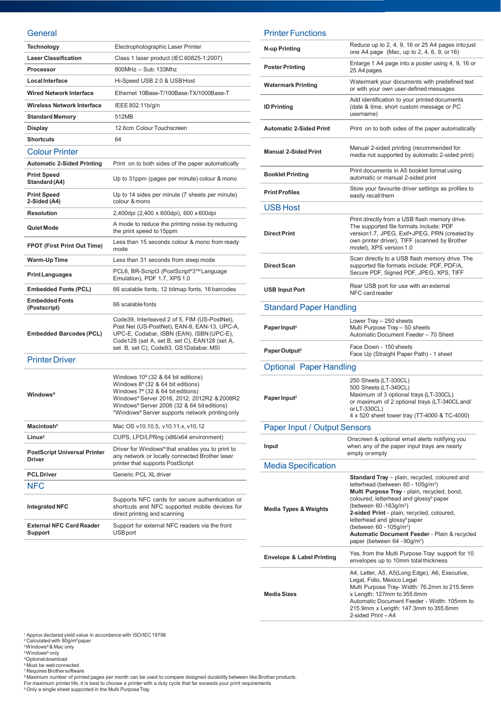#### **General**

| <b>Technology</b>                                    | Electrophotographic Laser Printer                                                                                                                                                                                                                                                           |
|------------------------------------------------------|---------------------------------------------------------------------------------------------------------------------------------------------------------------------------------------------------------------------------------------------------------------------------------------------|
| <b>Laser Classification</b>                          | Class 1 laser product (IEC 60825-1:2007)                                                                                                                                                                                                                                                    |
| Processor                                            | 800MHz - Sub: 133Mhz                                                                                                                                                                                                                                                                        |
| <b>Local Interface</b>                               | Hi-Speed USB 2.0 & USB Host                                                                                                                                                                                                                                                                 |
| <b>Wired Network Interface</b>                       | Ethernet 10Base-T/100Base-TX/1000Base-T                                                                                                                                                                                                                                                     |
| <b>Wireless Network Interface</b>                    | IEEE 802.11b/g/n                                                                                                                                                                                                                                                                            |
| <b>Standard Memory</b>                               | 512MB                                                                                                                                                                                                                                                                                       |
| <b>Display</b>                                       | 12.6cm Colour Touchscreen                                                                                                                                                                                                                                                                   |
| <b>Shortcuts</b>                                     | 64                                                                                                                                                                                                                                                                                          |
| <b>Colour Printer</b>                                |                                                                                                                                                                                                                                                                                             |
| <b>Automatic 2-Sided Printing</b>                    | Print on to both sides of the paper automatically                                                                                                                                                                                                                                           |
| <b>Print Speed</b><br>Standard (A4)                  | Up to 31ppm (pages per minute) colour & mono                                                                                                                                                                                                                                                |
| <b>Print Speed</b><br>2-Sided (A4)                   | Up to 14 sides per minute (7 sheets per minute)<br>colour & mono                                                                                                                                                                                                                            |
| <b>Resolution</b>                                    | 2,400dpi (2,400 x 600dpi), 600 x 600dpi                                                                                                                                                                                                                                                     |
| Quiet Mode                                           | A mode to reduce the printing noise by reducing<br>the print speed to 15ppm                                                                                                                                                                                                                 |
| <b>FPOT (First Print Out Time)</b>                   | Less than 15 seconds colour & mono from ready<br>mode                                                                                                                                                                                                                                       |
| Warm-Up Time                                         | Less than 31 seconds from sleep mode                                                                                                                                                                                                                                                        |
| <b>Print Languages</b>                               | PCL6, BR-Script3 (PostScript <sup>®</sup> 3™Language<br>Emulation), PDF 1.7, XPS 1.0                                                                                                                                                                                                        |
| <b>Embedded Fonts (PCL)</b>                          | 66 scalable fonts, 12 bitmap fonts, 16 barcodes                                                                                                                                                                                                                                             |
| <b>Embedded Fonts</b><br>(Postscript)                | 66 scalable fonts                                                                                                                                                                                                                                                                           |
| <b>Embedded Barcodes (PCL)</b>                       | Code39, Interleaved 2 of 5, FIM (US-PostNet),<br>Post Net (US-PostNet), EAN-8, EAN-13, UPC-A,<br>UPC-E, Codabar, ISBN (EAN), ISBN (UPC-E),<br>Code128 (set A, set B, set C), EAN128 (set A,<br>set B, set C), Code93, GS1Databar, MSI                                                       |
| <b>Printer Driver</b>                                |                                                                                                                                                                                                                                                                                             |
| <b>Windows</b> <sup>®</sup>                          | Windows $10^{\circ}$ (32 & 64 bit editions)<br>Windows $8^{\circ}$ (32 & 64 bit editions)<br>Windows 7 <sup>®</sup> (32 & 64 bit editions)<br>Windows® Server 2016, 2012, 2012R2 & 2008R2<br>Windows® Server 2008 (32 & 64 bit editions)<br>*Windows® Server supports network printing only |
| Macintosh <sup>5</sup>                               | Mac OS v10.10.5, v10.11.x, v10.12                                                                                                                                                                                                                                                           |
| Linux <sup>5</sup>                                   | CUPS, LPD/LPRng (x86/x64 environment)                                                                                                                                                                                                                                                       |
| <b>PostScript Universal Printer</b><br><b>Driver</b> | Driver for Windows <sup>®</sup> that enables you to print to<br>any network or locally connected Brother laser<br>printer that supports PostScript                                                                                                                                          |
| <b>PCL Driver</b>                                    | Generic PCL XL driver                                                                                                                                                                                                                                                                       |
| <b>NFC</b>                                           |                                                                                                                                                                                                                                                                                             |
| <b>Integrated NFC</b>                                | Supports NFC cards for secure authentication or<br>shortcuts and NFC supported mobile devices for<br>direct printing and scanning                                                                                                                                                           |
| <b>External NFC Card Reader</b><br>Support           | Support for external NFC readers via the front<br>USB port                                                                                                                                                                                                                                  |

### Printer Functions

| N-up Printing                        | Reduce up to 2, 4, 9, 16 or 25 A4 pages into just<br>one A4 page (Mac, up to 2, 4, 6, 9, or 16)                                                                                                                                                                                                                                                                                                                                                                        |  |
|--------------------------------------|------------------------------------------------------------------------------------------------------------------------------------------------------------------------------------------------------------------------------------------------------------------------------------------------------------------------------------------------------------------------------------------------------------------------------------------------------------------------|--|
| <b>Poster Printing</b>               | Enlarge 1 A4 page into a poster using 4, 9, 16 or<br>25 A4 pages                                                                                                                                                                                                                                                                                                                                                                                                       |  |
| <b>Watermark Printing</b>            | Watermark your documents with predefined text<br>or with your own user-defined messages                                                                                                                                                                                                                                                                                                                                                                                |  |
| <b>ID Printing</b>                   | Add identification to your printed documents<br>(date & time, short custom message or PC<br>username)                                                                                                                                                                                                                                                                                                                                                                  |  |
| <b>Automatic 2-Sided Print</b>       | Print on to both sides of the paper automatically                                                                                                                                                                                                                                                                                                                                                                                                                      |  |
| <b>Manual 2-Sided Print</b>          | Manual 2-sided printing (recommended for<br>media not supported by automatic 2-sided print)                                                                                                                                                                                                                                                                                                                                                                            |  |
| <b>Booklet Printing</b>              | Print documents in A5 booklet format using<br>automatic or manual 2-sided print                                                                                                                                                                                                                                                                                                                                                                                        |  |
| <b>Print Profiles</b>                | Store your favourite driver settings as profiles to<br>easily recall them                                                                                                                                                                                                                                                                                                                                                                                              |  |
| <b>USB Host</b>                      |                                                                                                                                                                                                                                                                                                                                                                                                                                                                        |  |
| <b>Direct Print</b>                  | Print directly from a USB flash memory drive.<br>The supported file formats include: PDF<br>version1.7, JPEG, Exif+JPEG, PRN (created by<br>own printer driver), TIFF (scanned by Brother<br>model), XPS version 1.0                                                                                                                                                                                                                                                   |  |
| <b>Direct Scan</b>                   | Scan directly to a USB flash memory drive. The<br>supported file formats include: PDF, PDF/A,<br>Secure PDF, Signed PDF, JPEG, XPS, TIFF                                                                                                                                                                                                                                                                                                                               |  |
| <b>USB Input Port</b>                | Rear USB port for use with an external<br>NFC card reader                                                                                                                                                                                                                                                                                                                                                                                                              |  |
| <b>Standard Paper Handling</b>       |                                                                                                                                                                                                                                                                                                                                                                                                                                                                        |  |
| Paper Input <sup>2</sup>             | Lower Tray - 250 sheets<br>Multi Purpose Tray - 50 sheets<br>Automatic Document Feeder - 70 Sheet                                                                                                                                                                                                                                                                                                                                                                      |  |
| Paper Output <sup>2</sup>            | Face Down - 150 sheets<br>Face Up (Straight Paper Path) - 1 sheet                                                                                                                                                                                                                                                                                                                                                                                                      |  |
| <b>Optional Paper Handling</b>       |                                                                                                                                                                                                                                                                                                                                                                                                                                                                        |  |
| Paper Input <sup>2</sup>             | 250 Sheets (LT-330CL)<br>500 Sheets (LT-340CL)<br>Maximum of 3 optional trays (LT-330CL)<br>or maximum of 2 optional trays (LT-340CL and/<br>or LT-330CL)<br>4 x 520 sheet tower tray (11-4000 & TC-4000)                                                                                                                                                                                                                                                              |  |
|                                      | <b>Paper Input / Output Sensors</b>                                                                                                                                                                                                                                                                                                                                                                                                                                    |  |
| Input                                | Onscreen & optional email alerts notifying you<br>when any of the paper input trays are nearly<br>empty or empty                                                                                                                                                                                                                                                                                                                                                       |  |
| <b>Media Specification</b>           |                                                                                                                                                                                                                                                                                                                                                                                                                                                                        |  |
| <b>Media Types &amp; Weights</b>     | Standard Tray - plain, recycled, coloured and<br>letterhead (between 60 - 105g/m <sup>2</sup> )<br>Multi Purpose Tray - plain, recycled, bond,<br>coloured, letterhead and glossy <sup>®</sup> paper<br>(between 60-163g/m <sup>2</sup> )<br>2-sided Print - plain, recycled, coloured,<br>letterhead and glossy <sup>9</sup> paper<br>(between 60 - 105g/m <sup>2</sup> )<br>Automatic Document Feeder - Plain & recycled<br>paper (between 64 - 90g/m <sup>2</sup> ) |  |
| <b>Envelope &amp; Label Printing</b> | Yes, from the Multi Purpose Tray: support for 10<br>envelopes up to 10mm total thickness                                                                                                                                                                                                                                                                                                                                                                               |  |
| <b>Media Sizes</b>                   | A4, Letter, A5, A5(Long Edge), A6, Executive,<br>Legal, Folio, Mexico Legal<br>Multi Purpose Tray- Width: 76.2mm to 215.9mm<br>x Length: 127mm to 355.6mm<br>Automatic Document Feeder - Width: 105mm to<br>215.9mm x Length: 147.3mm to 355.6mm<br>2-sided Print-A4                                                                                                                                                                                                   |  |

<sup>1</sup> Approx declared yield value in accordance with ISO/IEC 19798<br><sup>3</sup> Calculated with 80g/m<sup>2</sup>paper<br><sup>3</sup>Windows® & Mac only<br><sup>8</sup> Obtional download<br><sup>6</sup> Must be web connected<br><sup>8</sup> Maximum number of printed pages per month can b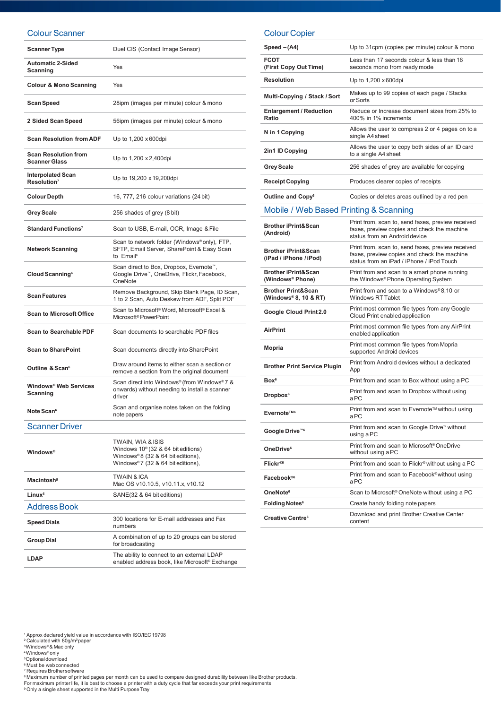#### Colour Scanner

| <b>Scanner Type</b>                                 | Duel CIS (Contact Image Sensor)                                                                                                             |
|-----------------------------------------------------|---------------------------------------------------------------------------------------------------------------------------------------------|
| <b>Automatic 2-Sided</b><br>Scanning                | Yes                                                                                                                                         |
| <b>Colour &amp; Mono Scanning</b>                   | Yes                                                                                                                                         |
| <b>Scan Speed</b>                                   | 28ipm (images per minute) colour & mono                                                                                                     |
| 2 Sided Scan Speed                                  | 56ipm (images per minute) colour & mono                                                                                                     |
| <b>Scan Resolution from ADF</b>                     | Up to 1,200 x 600dpi                                                                                                                        |
| <b>Scan Resolution from</b><br><b>Scanner Glass</b> | Up to 1,200 x 2,400 dpi                                                                                                                     |
| <b>Interpolated Scan</b><br>Resolution <sup>7</sup> | Up to 19,200 x 19,200dpi                                                                                                                    |
| <b>Colour Depth</b>                                 | 16, 777, 216 colour variations (24 bit)                                                                                                     |
| <b>Grey Scale</b>                                   | 256 shades of grey (8 bit)                                                                                                                  |
| Standard Functions <sup>7</sup>                     | Scan to USB, E-mail, OCR, Image & File                                                                                                      |
| <b>Network Scanning</b>                             | Scan to network folder (Windows® only), FTP,<br>SFTP, Email Server, SharePoint & Easy Scan<br>to Email <sup>6</sup>                         |
| Cloud Scanning <sup>6</sup>                         | Scan direct to Box, Dropbox, Evernote <sup>™</sup> ,<br>Google Drive™, OneDrive, Flickr, Facebook,<br>OneNote                               |
| <b>Scan Features</b>                                | Remove Background, Skip Blank Page, ID Scan,<br>1 to 2 Scan, Auto Deskew from ADF, Split PDF                                                |
| <b>Scan to Microsoft Office</b>                     | Scan to Microsoft <sup>®</sup> Word, Microsoft <sup>®</sup> Excel &<br>Microsoft <sup>®</sup> PowerPoint                                    |
| <b>Scan to Searchable PDF</b>                       | Scan documents to searchable PDF files                                                                                                      |
| <b>Scan to SharePoint</b>                           | Scan documents directly into SharePoint                                                                                                     |
| Outline & Scan <sup>6</sup>                         | Draw around items to either scan a section or<br>remove a section from the original document                                                |
| Windows® Web Services<br>Scanning                   | Scan direct into Windows® (from Windows®7 &<br>onwards) without needing to install a scanner<br>driver                                      |
| Note Scan <sup>6</sup>                              | Scan and organise notes taken on the folding<br>note papers                                                                                 |
| <b>Scanner Driver</b>                               |                                                                                                                                             |
| <b>Windows</b> <sup>®</sup>                         | TWAIN, WIA & ISIS<br>Windows $10^{\circ}$ (32 & 64 bit editions)<br>Windows®8 (32 & 64 bit editions),<br>Windows® 7 (32 & 64 bit editions), |
| Macintosh <sup>5</sup>                              | <b>TWAIN &amp; ICA</b><br>Mac OS v10.10.5, v10.11.x, v10.12                                                                                 |
| Linux <sup>5</sup>                                  | SANE(32 & 64 bit editions)                                                                                                                  |
| <b>Address Book</b>                                 |                                                                                                                                             |
| <b>Speed Dials</b>                                  | 300 locations for E-mail addresses and Fax<br>numbers                                                                                       |
| <b>Group Dial</b>                                   | A combination of up to 20 groups can be stored<br>for broadcasting                                                                          |

## Colour Copier

| $Speed - (A4)$                                                 | Up to 31cpm (copies per minute) colour & mono                                                                                                 |
|----------------------------------------------------------------|-----------------------------------------------------------------------------------------------------------------------------------------------|
| FCOT<br>(First Copy Out Time)                                  | Less than 17 seconds colour & less than 16<br>seconds mono from ready mode                                                                    |
| <b>Resolution</b>                                              | Up to 1,200 x 600dpi                                                                                                                          |
| Multi-Copying / Stack / Sort                                   | Makes up to 99 copies of each page / Stacks<br>or Sorts                                                                                       |
| <b>Enlargement / Reduction</b><br>Ratio                        | Reduce or Increase document sizes from 25% to<br>400% in 1% increments                                                                        |
| N in 1 Copying                                                 | Allows the user to compress 2 or 4 pages on to a<br>single A4 sheet                                                                           |
| 2in1 ID Copying                                                | Allows the user to copy both sides of an ID card<br>to a single A4 sheet                                                                      |
| <b>Grey Scale</b>                                              | 256 shades of grey are available for copying                                                                                                  |
| <b>Receipt Copying</b>                                         | Produces clearer copies of receipts                                                                                                           |
| Outline and Copy <sup>6</sup>                                  | Copies or deletes areas outlined by a red pen                                                                                                 |
| Mobile / Web Based Printing & Scanning                         |                                                                                                                                               |
| <b>Brother iPrint&amp;Scan</b><br>(Android)                    | Print from, scan to, send faxes, preview received<br>faxes, preview copies and check the machine<br>status from an Android device             |
| <b>Brother iPrint&amp;Scan</b><br>(iPad / iPhone / iPod)       | Print from, scan to, send faxes, preview received<br>faxes, preview copies and check the machine<br>status from an iPad / iPhone / iPod Touch |
| <b>Brother iPrint&amp;Scan</b><br>(Windows <sup>®</sup> Phone) | Print from and scan to a smart phone running<br>the Windows® Phone Operating System                                                           |
| <b>Brother Print&amp;Scan</b><br>(Windows® 8, 10 & RT)         | Print from and scan to a Windows®8,10 or<br><b>Windows RT Tablet</b>                                                                          |
| Google Cloud Print 2.0                                         | Print most common file types from any Google<br>Cloud Print enabled application                                                               |
| <b>AirPrint</b>                                                | Print most common file types from any AirPrint<br>enabled application                                                                         |
| Mopria                                                         | Print most common file types from Mopria<br>supported Android devices                                                                         |
| <b>Brother Print Service Plugin</b>                            | Print from Android devices without a dedicated<br>App                                                                                         |
| Box <sup>6</sup>                                               | Print from and scan to Box without using a PC                                                                                                 |
| Dropbox <sup>6</sup>                                           | Print from and scan to Dropbox without using<br>aPC                                                                                           |
| Evernote™ <sup>6</sup>                                         | Print from and scan to Evernote™ without using<br>aPC                                                                                         |
| Google Drive <sup>™6</sup>                                     | Print from and scan to Google Drive™ without<br>using a PC                                                                                    |
| OneDrive <sup>6</sup>                                          | Print from and scan to Microsoft <sup>®</sup> OneDrive<br>without using a PC                                                                  |
| Flickr <sup>®6</sup>                                           | Print from and scan to Flickr <sup>®</sup> without using a PC                                                                                 |
| Facebook®6                                                     | Print from and scan to Facebook® without using<br>aPC                                                                                         |
| OneNote <sup>6</sup>                                           | Scan to Microsoft <sup>®</sup> OneNote without using a PC                                                                                     |
| <b>Folding Notes<sup>6</sup></b>                               | Create handy folding note papers                                                                                                              |
| Creative Centre <sup>6</sup>                                   | Download and print Brother Creative Center<br>content                                                                                         |

<sup>1</sup> Approx declared yield value in accordance with ISO/IEC 19798<br>? Calculated with 80g/m<sup>2</sup>paper<br><sup>3</sup>Windows® & Mac only<br><sup>4</sup>Windows® only<br><sup>5</sup> Dptional download<br>® Must be web connected

**LDAP** The ability to connect to an external LDAP

<sup>7</sup>Requires Brother software

° Maximum number of printed pages per month can be used to compare designed durability between like Brother products.<br>For maximum printer life, it is best to choose a printer with a duty cycle that far exceeds your print

enabled address book, like Microsoft® Exchange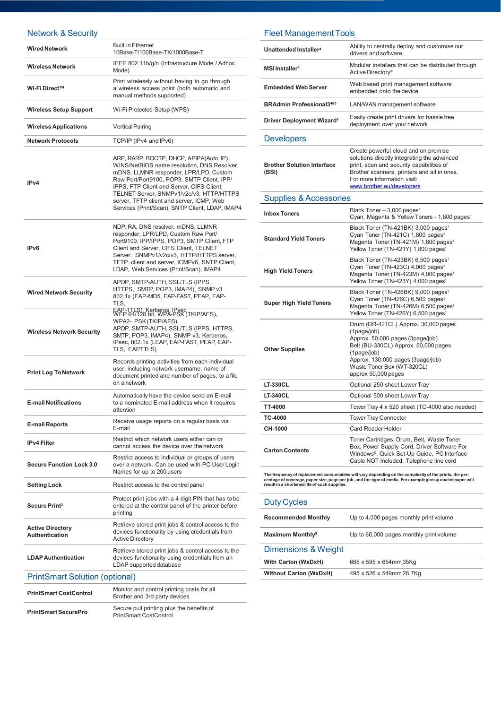## Network & Security

| <b>Wired Network</b>                             | <b>Built in Ethernet</b><br>10Base-T/100Base-TX/1000Base-T                                                                                                                                                                                                                                                                                                              |  |
|--------------------------------------------------|-------------------------------------------------------------------------------------------------------------------------------------------------------------------------------------------------------------------------------------------------------------------------------------------------------------------------------------------------------------------------|--|
| <b>Wireless Network</b>                          | IEEE 802.11b/g/n (Infrastructure Mode / Adhoc<br>Mode)                                                                                                                                                                                                                                                                                                                  |  |
| Wi-Fi Direct™                                    | Print wirelessly without having to go through<br>a wireless access point (both automatic and<br>manual methods supported)                                                                                                                                                                                                                                               |  |
| <b>Wireless Setup Support</b>                    | Wi-Fi Protected Setup (WPS)                                                                                                                                                                                                                                                                                                                                             |  |
| <b>Wireless Applications</b>                     | <b>Vertical Pairing</b>                                                                                                                                                                                                                                                                                                                                                 |  |
| <b>Network Protocols</b>                         | TCP/IP (IPv4 and IPv6)                                                                                                                                                                                                                                                                                                                                                  |  |
| IP <sub>v4</sub>                                 | ARP, RARP, BOOTP, DHCP, APIPA(Auto IP),<br>WINS/NetBIOS name resolution, DNS Resolver,<br>mDNS, LLMNR responder, LPR/LPD, Custom<br>Raw Port/Port9100, POP3, SMTP Client, IPP/<br>IPPS, FTP Client and Server, CIFS Client,<br>TELNET Server, SNMPv1/v2c/v3, HTTP/HTTPS<br>server, TFTP client and server, ICMP, Web<br>Services (Print/Scan), SNTP Client, LDAP, IMAP4 |  |
| IP <sub>v6</sub>                                 | NDP, RA, DNS resolver, mDNS, LLMNR<br>responder, LPR/LPD, Custom Raw Port/<br>Port9100, IPP/IPPS, POP3, SMTP Client, FTP<br>Client and Server, CIFS Client, TELNET<br>Server, SNMPv1/v2c/v3, HTTP/HTTPS server,<br>TFTP client and server, ICMPv6, SNTP Client,<br>LDAP, Web Services (Print/Scan), IMAP4                                                               |  |
| <b>Wired Network Security</b>                    | APOP, SMTP-AUTH, SSL/TLS (IPPS,<br>HTTPS, SMTP, POP3, IMAP4), SNMP v3<br>802.1x (EAP-MD5, EAP-FAST, PEAP, EAP-<br>TLS,                                                                                                                                                                                                                                                  |  |
| <b>Wireless Network Security</b>                 | EAP-TTLS), Kerberos, L'SEC (TKIP/AES),<br>WPA2- PSK (TKIP/AES)<br>APOP, SMTP-AUTH, SSL/TLS (IPPS, HTTPS,<br>SMTP, POP3, IMAP4), SNMP v3, Kerberos,<br>IPsec, 802.1x (LEAP, EAP-FAST, PEAP, EAP-<br>TLS, EAPTTLS)                                                                                                                                                        |  |
| <b>Print Log To Network</b>                      | Records printing activities from each individual<br>user, including network username, name of<br>document printed and number of pages, to a file<br>on a network                                                                                                                                                                                                        |  |
| <b>E-mail Notifications</b>                      | Automatically have the device send an E-mail<br>to a nominated E-mail address when it requires<br>attention                                                                                                                                                                                                                                                             |  |
| <b>E-mail Reports</b>                            | Receive usage reports on a regular basis via<br>E-mail                                                                                                                                                                                                                                                                                                                  |  |
| <b>IPv4 Filter</b>                               | Restrict which network users either can or<br>cannot access the device over the network                                                                                                                                                                                                                                                                                 |  |
| <b>Secure Function Lock 3.0</b>                  | Restrict access to individual or groups of users<br>over a network. Can be used with PC User Login<br>Names for up to 200 users                                                                                                                                                                                                                                         |  |
| <b>Setting Lock</b>                              | Restrict access to the control panel                                                                                                                                                                                                                                                                                                                                    |  |
| <b>Secure Print<sup>3</sup></b>                  | Protect print jobs with a 4 digit PIN that has to be<br>entered at the control panel of the printer before<br>printing                                                                                                                                                                                                                                                  |  |
| <b>Active Directory</b><br><b>Authentication</b> | Retrieve stored print jobs & control access to the<br>devices functionality by using credentials from<br><b>Active Directory</b>                                                                                                                                                                                                                                        |  |
| <b>LDAP Authentication</b>                       | Retrieve stored print jobs & control access to the<br>devices functionality using credentials from an<br>LDAP supported database                                                                                                                                                                                                                                        |  |
| <b>PrintSmart Solution (optional)</b>            |                                                                                                                                                                                                                                                                                                                                                                         |  |
| <b>PrintSmart CostControl</b>                    | Monitor and control printing costs for all<br>Brother and 3rd party devices                                                                                                                                                                                                                                                                                             |  |
| <b>PrintSmart SecurePro</b>                      | Secure pull printing plus the benefits of<br><b>PrintSmart CostControl</b>                                                                                                                                                                                                                                                                                              |  |

## Fleet Management Tools

| Unattended Installer <sup>4</sup>                                                                                                                                                                                                                                    | Ability to centrally deploy and customise our<br>drivers and software                                                                                                                                                                      |
|----------------------------------------------------------------------------------------------------------------------------------------------------------------------------------------------------------------------------------------------------------------------|--------------------------------------------------------------------------------------------------------------------------------------------------------------------------------------------------------------------------------------------|
| MSI Installer <sup>4</sup>                                                                                                                                                                                                                                           | Modular installers that can be distributed through<br>Active Directory <sup>®</sup>                                                                                                                                                        |
| <b>Embedded Web Server</b>                                                                                                                                                                                                                                           | Web based print management software<br>embedded onto the device                                                                                                                                                                            |
| <b>BRAdmin Professional3485</b>                                                                                                                                                                                                                                      | LAN/WAN management software                                                                                                                                                                                                                |
| <b>Driver Deployment Wizard<sup>4</sup></b>                                                                                                                                                                                                                          | Easily create print drivers for hassle free<br>deployment over your network                                                                                                                                                                |
| <b>Developers</b>                                                                                                                                                                                                                                                    |                                                                                                                                                                                                                                            |
| <b>Brother Solution Interface</b><br>(BSI)                                                                                                                                                                                                                           | Create powerful cloud and on premise<br>solutions directly integrating the advanced<br>print, scan and security capabilities of<br>Brother scanners, printers and all in ones.<br>For more information visit:<br>www.brother.eu/developers |
| <b>Supplies &amp; Accessories</b>                                                                                                                                                                                                                                    |                                                                                                                                                                                                                                            |
| <b>Inbox Toners</b>                                                                                                                                                                                                                                                  | Black Toner - 3,000 pages <sup>1</sup><br>Cyan, Magenta & Yellow Toners - 1,800 pages <sup>1</sup>                                                                                                                                         |
| <b>Standard Yield Toners</b>                                                                                                                                                                                                                                         | Black Toner (TN-421BK) 3,000 pages <sup>1</sup><br>Cyan Toner (TN-421C) 1,800 pages <sup>1</sup><br>Magenta Toner (TN-421M) 1,800 pages <sup>1</sup><br>Yellow Toner (TN-421Y) 1,800 pages <sup>1</sup>                                    |
| <b>High Yield Toners</b>                                                                                                                                                                                                                                             | Black Toner (TN-423BK) 6,500 pages <sup>1</sup><br>Cyan Toner (TN-423C) 4,000 pages <sup>1</sup><br>Magenta Toner (TN-423M) 4,000 pages <sup>1</sup><br>Yellow Toner (TN-423Y) 4,000 pages <sup>1</sup>                                    |
| <b>Super High Yield Toners</b>                                                                                                                                                                                                                                       | Black Toner (TN-426BK) 9,000 pages <sup>1</sup><br>Cyan Toner (TN-426C) 6,500 pages <sup>1</sup><br>Magenta Toner (TN-426M) 6,500 pages <sup>1</sup><br>Yellow Toner (TN-426Y) 6,500 pages <sup>1</sup>                                    |
| <b>Other Supplies</b>                                                                                                                                                                                                                                                | Drum (DR-421CL) Approx. 30,000 pages<br>(1page/job)<br>Approx. 50,000 pages (3page/job)<br>Belt (BU-330CL) Approx. 50,000 pages<br>(1page/job)<br>Approx. 130,000 pages (3page/job)<br>Waste Toner Box (WT-320CL)<br>approx 50,000 pages   |
| <b>LT-330CL</b>                                                                                                                                                                                                                                                      | Optional 250 sheet Lower Tray                                                                                                                                                                                                              |
| LT-340CL                                                                                                                                                                                                                                                             | Optional 500 sheet Lower Tray                                                                                                                                                                                                              |
| TT-4000                                                                                                                                                                                                                                                              | Tower Tray 4 x 520 sheet (TC-4000 also needed)                                                                                                                                                                                             |
| TC-4000                                                                                                                                                                                                                                                              | Tower Tray Connector                                                                                                                                                                                                                       |
| <b>CH-1000</b>                                                                                                                                                                                                                                                       | Card Reader Holder                                                                                                                                                                                                                         |
| <b>Carton Contents</b>                                                                                                                                                                                                                                               | Toner Cartridges, Drum, Belt, Waste Toner<br>Box, Power Supply Cord, Driver Software For<br>Windows®, Quick Set-Up Guide, PC Interface<br>Cable NOT Included, Telephone line cord                                                          |
| The frequency of replacement consumables will vary depending on the complexity of the prints, the per-<br>centage of coverage, paper size, page per job, and the type of media. For example glossy coated paper will<br>result in a shortened life of such supplies. |                                                                                                                                                                                                                                            |
| <b>Duty Cycles</b>                                                                                                                                                                                                                                                   |                                                                                                                                                                                                                                            |
| Recommended Monthly                                                                                                                                                                                                                                                  | Un to 4,000 pages monthly print volume                                                                                                                                                                                                     |

| <b>Recommended Monthly</b>         | Up to 4,000 pages monthly print volume  |
|------------------------------------|-----------------------------------------|
| <b>Maximum Monthly<sup>8</sup></b> | Up to 60,000 pages monthly print volume |
| <b>Dimensions &amp; Weight</b>     |                                         |
| <b>With Carton (WxDxH)</b>         | 665 x 595 x 654mm 35Kg                  |
| <b>Without Carton (WxDxH)</b>      | 495 x 526 x 549mm 28.7Kg                |